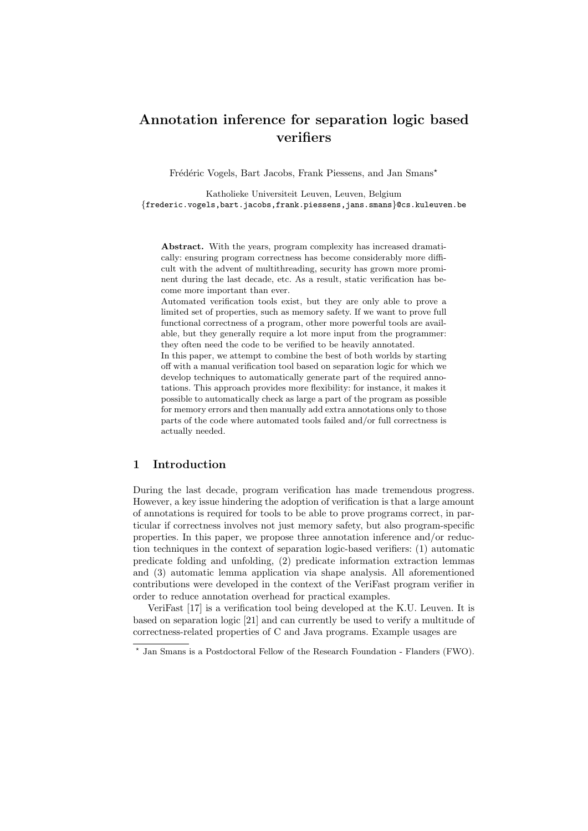# **Annotation inference for separation logic based verifiers**

Frédéric Vogels, Bart Jacobs, Frank Piessens, and Jan Smans<sup>\*</sup>

Katholieke Universiteit Leuven, Leuven, Belgium *{*frederic.vogels,bart.jacobs,frank.piessens,jans.smans*}*@cs.kuleuven.be

**Abstract.** With the years, program complexity has increased dramatically: ensuring program correctness has become considerably more difficult with the advent of multithreading, security has grown more prominent during the last decade, etc. As a result, static verification has become more important than ever.

Automated verification tools exist, but they are only able to prove a limited set of properties, such as memory safety. If we want to prove full functional correctness of a program, other more powerful tools are available, but they generally require a lot more input from the programmer: they often need the code to be verified to be heavily annotated.

In this paper, we attempt to combine the best of both worlds by starting off with a manual verification tool based on separation logic for which we develop techniques to automatically generate part of the required annotations. This approach provides more flexibility: for instance, it makes it possible to automatically check as large a part of the program as possible for memory errors and then manually add extra annotations only to those parts of the code where automated tools failed and/or full correctness is actually needed.

## **1 Introduction**

During the last decade, program verification has made tremendous progress. However, a key issue hindering the adoption of verification is that a large amount of annotations is required for tools to be able to prove programs correct, in particular if correctness involves not just memory safety, but also program-specific properties. In this paper, we propose three annotation inference and/or reduction techniques in the context of separation logic-based verifiers: (1) automatic predicate folding and unfolding, (2) predicate information extraction lemmas and (3) automatic lemma application via shape analysis. All aforementioned contributions were developed in the context of the VeriFast program verifier in order to reduce annotation overhead for practical examples.

VeriFast [17] is a verification tool being developed at the K.U. Leuven. It is based on separation logic [21] and can currently be used to verify a multitude of correctness-related properties of C and Java programs. Example usages are

*<sup>⋆</sup>* Jan Smans is a Postdoctoral Fellow of the Research Foundation - Flanders (FWO).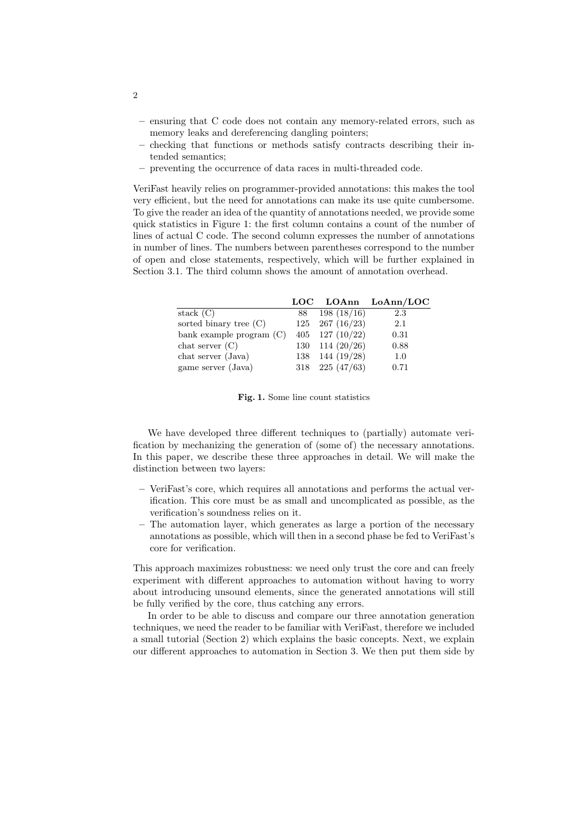- **–** ensuring that C code does not contain any memory-related errors, such as memory leaks and dereferencing dangling pointers;
- **–** checking that functions or methods satisfy contracts describing their intended semantics;
- **–** preventing the occurrence of data races in multi-threaded code.

VeriFast heavily relies on programmer-provided annotations: this makes the tool very efficient, but the need for annotations can make its use quite cumbersome. To give the reader an idea of the quantity of annotations needed, we provide some quick statistics in Figure 1: the first column contains a count of the number of lines of actual C code. The second column expresses the number of annotations in number of lines. The numbers between parentheses correspond to the number of open and close statements, respectively, which will be further explained in Section 3.1. The third column shows the amount of annotation overhead.

|                            |     |                           | LOC LOAnn LoAnn/LOC |
|----------------------------|-----|---------------------------|---------------------|
| stack $(C)$                | 88. | 198(18/16)                | 2.3                 |
| sorted binary tree $(C)$   |     | $125$ 267 (16/23)         | 2.1                 |
| bank example program $(C)$ |     | $405 \quad 127 \ (10/22)$ | 0.31                |
| $\chi$ chat server $(C)$   |     | $130 \quad 114 \ (20/26)$ | 0.88                |
| chat server (Java)         |     | 138 144 $(19/28)$         | 1.0                 |
| game server (Java)         |     | 318 225 (47/63)           | 0.71                |

**Fig. 1.** Some line count statistics

We have developed three different techniques to (partially) automate verification by mechanizing the generation of (some of) the necessary annotations. In this paper, we describe these three approaches in detail. We will make the distinction between two layers:

- **–** VeriFast's core, which requires all annotations and performs the actual verification. This core must be as small and uncomplicated as possible, as the verification's soundness relies on it.
- **–** The automation layer, which generates as large a portion of the necessary annotations as possible, which will then in a second phase be fed to VeriFast's core for verification.

This approach maximizes robustness: we need only trust the core and can freely experiment with different approaches to automation without having to worry about introducing unsound elements, since the generated annotations will still be fully verified by the core, thus catching any errors.

In order to be able to discuss and compare our three annotation generation techniques, we need the reader to be familiar with VeriFast, therefore we included a small tutorial (Section 2) which explains the basic concepts. Next, we explain our different approaches to automation in Section 3. We then put them side by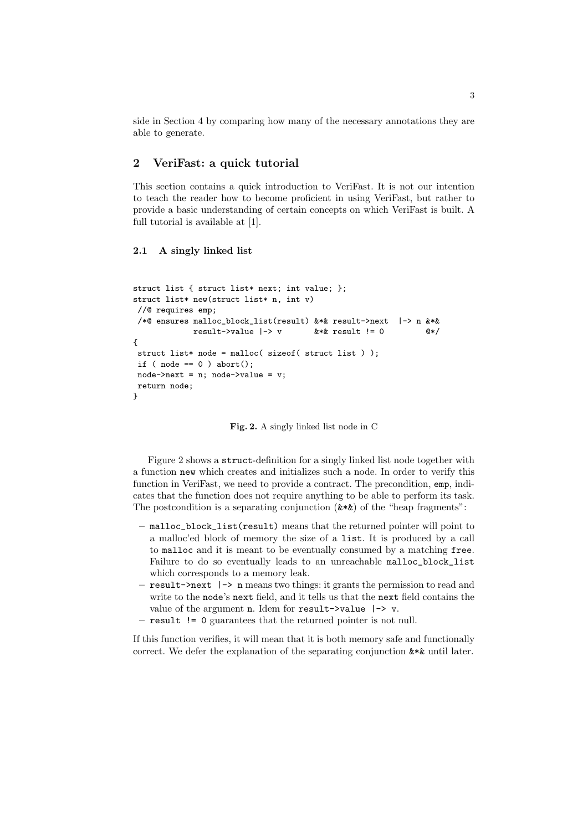side in Section 4 by comparing how many of the necessary annotations they are able to generate.

## **2 VeriFast: a quick tutorial**

This section contains a quick introduction to VeriFast. It is not our intention to teach the reader how to become proficient in using VeriFast, but rather to provide a basic understanding of certain concepts on which VeriFast is built. A full tutorial is available at [1].

#### **2.1 A singly linked list**

```
struct list { struct list* next; int value; };
struct list* new(struct list* n, int v)
//@ requires emp;
/*@ ensures malloc_block_list(result) &*& result->next |-> n &*&
            result->value |-> v &*& result != 0 (x*){
struct list* node = malloc( sizeof( struct list ) );
if ( node == 0 ) abort();
node->next = n; node->value = v;
return node;
}
```
**Fig. 2.** A singly linked list node in C

Figure 2 shows a struct-definition for a singly linked list node together with a function new which creates and initializes such a node. In order to verify this function in VeriFast, we need to provide a contract. The precondition, emp, indicates that the function does not require anything to be able to perform its task. The postcondition is a separating conjunction  $(\* \&)$  of the "heap fragments":

- **–** malloc\_block\_list(result) means that the returned pointer will point to a malloc'ed block of memory the size of a list. It is produced by a call to malloc and it is meant to be eventually consumed by a matching free. Failure to do so eventually leads to an unreachable malloc\_block\_list which corresponds to a memory leak.
- **–** result->next |-> n means two things: it grants the permission to read and write to the node's next field, and it tells us that the next field contains the value of the argument n. Idem for result- $\rightarrow$ value  $\rightarrow$  v.
- **–** result != 0 guarantees that the returned pointer is not null.

If this function verifies, it will mean that it is both memory safe and functionally correct. We defer the explanation of the separating conjunction &\*& until later.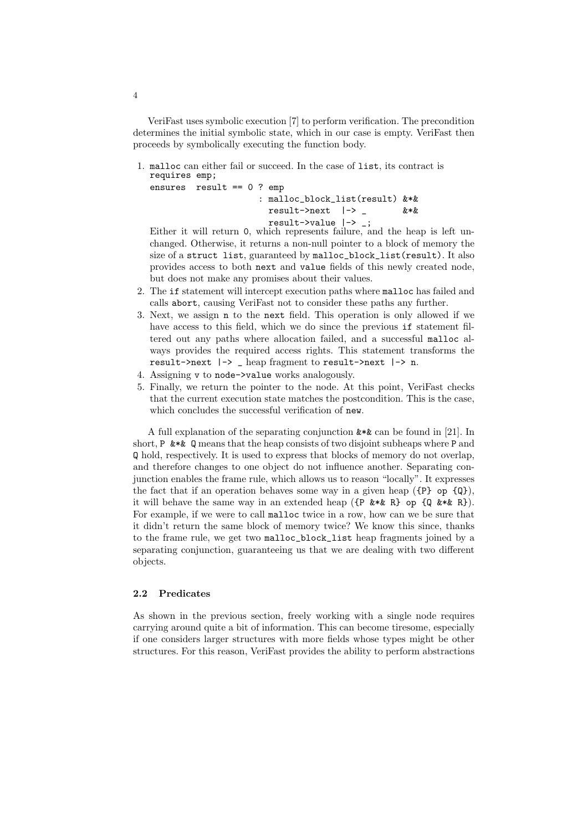VeriFast uses symbolic execution [7] to perform verification. The precondition determines the initial symbolic state, which in our case is empty. VeriFast then proceeds by symbolically executing the function body.

1. malloc can either fail or succeed. In the case of list, its contract is requires emp;

```
ensures result == 0 ? emp
                    : malloc_block_list(result) &*&
                     result->next |-> _ &*&
                     result->value |-> _;
```
Either it will return 0, which represents failure, and the heap is left unchanged. Otherwise, it returns a non-null pointer to a block of memory the size of a struct list, guaranteed by malloc\_block\_list(result). It also provides access to both next and value fields of this newly created node, but does not make any promises about their values.

- 2. The if statement will intercept execution paths where malloc has failed and calls abort, causing VeriFast not to consider these paths any further.
- 3. Next, we assign n to the next field. This operation is only allowed if we have access to this field, which we do since the previous if statement filtered out any paths where allocation failed, and a successful malloc always provides the required access rights. This statement transforms the result->next |-> \_ heap fragment to result->next |-> n.
- 4. Assigning v to node->value works analogously.
- 5. Finally, we return the pointer to the node. At this point, VeriFast checks that the current execution state matches the postcondition. This is the case, which concludes the successful verification of new.

A full explanation of the separating conjunction  $\&\&\&\cosh$  can be found in [21]. In short, P  $\&\ast\&\mathbb{Q}$  means that the heap consists of two disjoint subheaps where P and Q hold, respectively. It is used to express that blocks of memory do not overlap, and therefore changes to one object do not influence another. Separating conjunction enables the frame rule, which allows us to reason "locally". It expresses the fact that if an operation behaves some way in a given heap  $({P}$  op  ${Q}$ ), it will behave the same way in an extended heap ( $\{P \& * \& R\}$  op  $\{Q \& * \& R\}$ ). For example, if we were to call malloc twice in a row, how can we be sure that it didn't return the same block of memory twice? We know this since, thanks to the frame rule, we get two malloc\_block\_list heap fragments joined by a separating conjunction, guaranteeing us that we are dealing with two different objects.

#### **2.2 Predicates**

As shown in the previous section, freely working with a single node requires carrying around quite a bit of information. This can become tiresome, especially if one considers larger structures with more fields whose types might be other structures. For this reason, VeriFast provides the ability to perform abstractions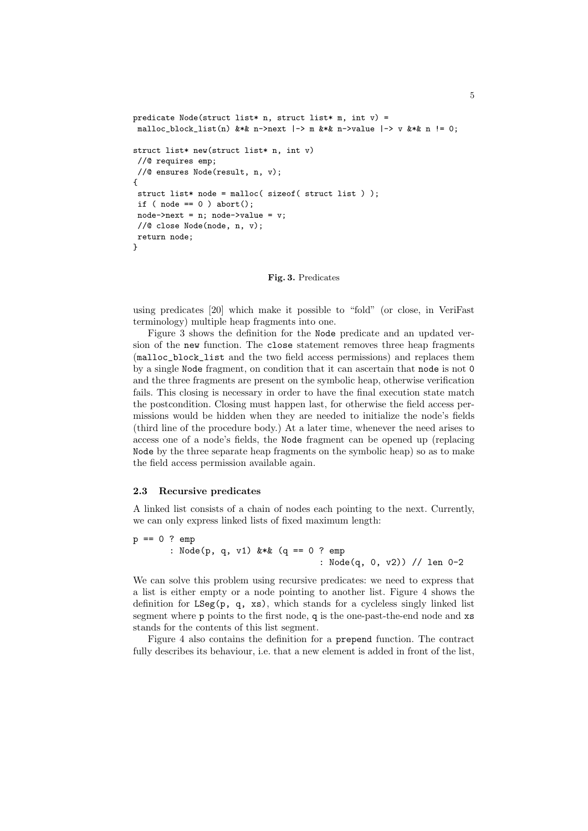```
predicate Node(struct list* n, struct list* m, int v) =
 malloc_block_list(n) &*& n->next |-> m &*& n->value |-> v &*& n != 0;
struct list* new(struct list* n, int v)
//@ requires emp;
//@ ensures Node(result, n, v);
{
 struct list* node = malloc( sizeof( struct list ) );
 if ( node == 0 ) abort();
node->next = n; node->value = v;
 //@ close Node(node, n, v);
return node;
}
```
#### **Fig. 3.** Predicates

using predicates [20] which make it possible to "fold" (or close, in VeriFast terminology) multiple heap fragments into one.

Figure 3 shows the definition for the Node predicate and an updated version of the new function. The close statement removes three heap fragments (malloc\_block\_list and the two field access permissions) and replaces them by a single Node fragment, on condition that it can ascertain that node is not 0 and the three fragments are present on the symbolic heap, otherwise verification fails. This closing is necessary in order to have the final execution state match the postcondition. Closing must happen last, for otherwise the field access permissions would be hidden when they are needed to initialize the node's fields (third line of the procedure body.) At a later time, whenever the need arises to access one of a node's fields, the Node fragment can be opened up (replacing Node by the three separate heap fragments on the symbolic heap) so as to make the field access permission available again.

#### **2.3 Recursive predicates**

A linked list consists of a chain of nodes each pointing to the next. Currently, we can only express linked lists of fixed maximum length:

 $p == 0$  ?  $emp$ : Node(p, q, v1) &\*& (q == 0 ? emp : Node(q, 0, v2)) // len 0-2

We can solve this problem using recursive predicates: we need to express that a list is either empty or a node pointing to another list. Figure 4 shows the definition for LSeg(p, q, xs), which stands for a cycleless singly linked list segment where p points to the first node, q is the one-past-the-end node and  $xs$ stands for the contents of this list segment.

Figure 4 also contains the definition for a prepend function. The contract fully describes its behaviour, i.e. that a new element is added in front of the list,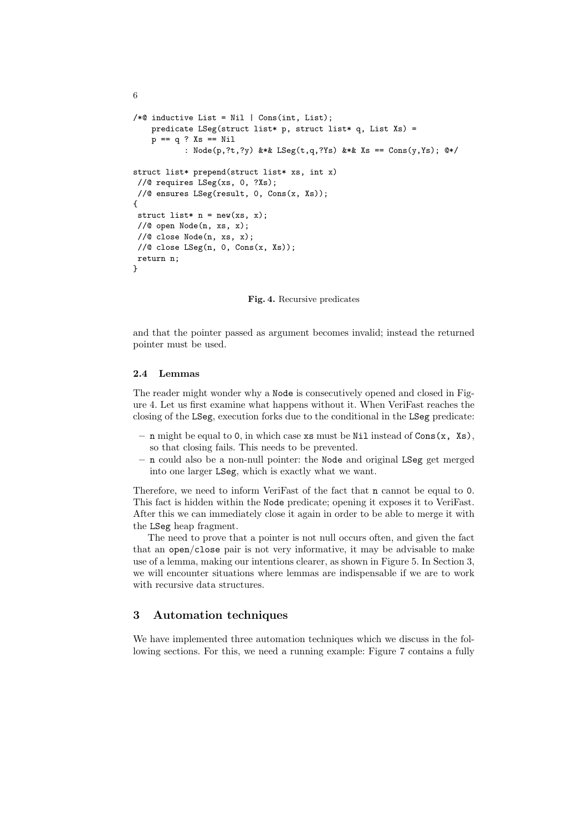```
/*@ inductive List = Nil | Cons(int, List);
    predicate LSeg(struct list* p, struct list* q, List Xs) =
    p == q ? Xs == Nil
           : Node(p,?t,?y) &*& LSeg(t,q,?Ys) &*& Xs == Cons(y,Ys); @*/
struct list* prepend(struct list* xs, int x)
//@ requires LSeg(xs, 0, ?Xs);
//@ ensures LSeg(result, 0, Cons(x, Xs));
{
struct list* n = new(xs, x);
//@ open Node(n, xs, x);
//@ close Node(n, xs, x);
//@ close LSeg(n, 0, Cons(x, Xs));
return n;
}
```
#### **Fig. 4.** Recursive predicates

and that the pointer passed as argument becomes invalid; instead the returned pointer must be used.

### **2.4 Lemmas**

6

The reader might wonder why a Node is consecutively opened and closed in Figure 4. Let us first examine what happens without it. When VeriFast reaches the closing of the LSeg, execution forks due to the conditional in the LSeg predicate:

- **–** n might be equal to 0, in which case xs must be Nil instead of Cons(x, Xs), so that closing fails. This needs to be prevented.
- **–** n could also be a non-null pointer: the Node and original LSeg get merged into one larger LSeg, which is exactly what we want.

Therefore, we need to inform VeriFast of the fact that n cannot be equal to 0. This fact is hidden within the Node predicate; opening it exposes it to VeriFast. After this we can immediately close it again in order to be able to merge it with the LSeg heap fragment.

The need to prove that a pointer is not null occurs often, and given the fact that an open/close pair is not very informative, it may be advisable to make use of a lemma, making our intentions clearer, as shown in Figure 5. In Section 3, we will encounter situations where lemmas are indispensable if we are to work with recursive data structures.

## **3 Automation techniques**

We have implemented three automation techniques which we discuss in the following sections. For this, we need a running example: Figure 7 contains a fully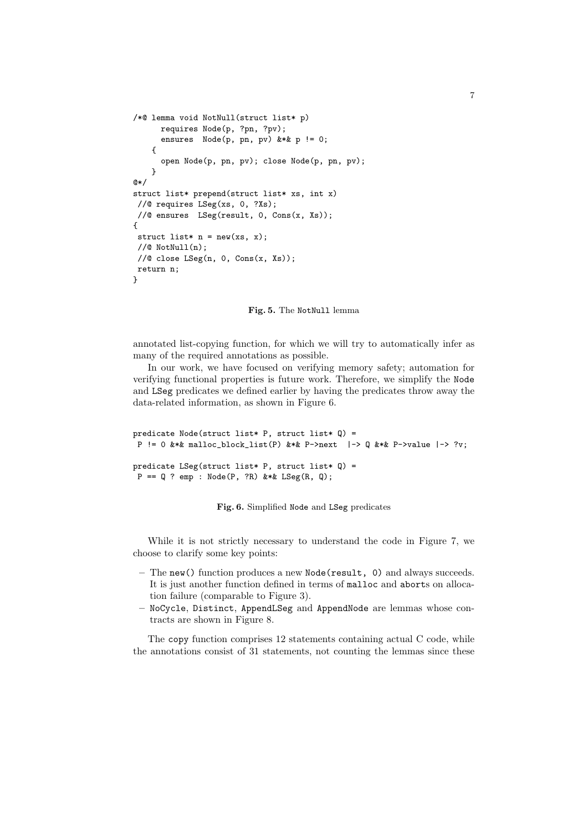```
/*@ lemma void NotNull(struct list* p)
      requires Node(p, ?pn, ?pv);
      ensures Node(p, pn, pv) &*& p != 0;
    {
      open Node(p, pn, pv); close Node(p, pn, pv);
    }
@*/
struct list* prepend(struct list* xs, int x)
//@ requires LSeg(xs, 0, ?Xs);
//@ ensures LSeg(result, 0, Cons(x, Xs));
{
struct list* n = new(xs, x);
//@ NotNull(n);
//@ close LSeg(n, 0, Cons(x, Xs));
return n;
}
```
#### **Fig. 5.** The NotNull lemma

annotated list-copying function, for which we will try to automatically infer as many of the required annotations as possible.

In our work, we have focused on verifying memory safety; automation for verifying functional properties is future work. Therefore, we simplify the Node and LSeg predicates we defined earlier by having the predicates throw away the data-related information, as shown in Figure 6.

```
predicate Node(struct list* P, struct list* Q) =
P != 0 &*& malloc_block_list(P) &*& P->next |-> Q &*& P->value |-> ?v;
predicate LSeg(struct list* P, struct list* Q) =
P = Q ? emp : Node(P, ?R) &*& LSeg(R, Q);
```
**Fig. 6.** Simplified Node and LSeg predicates

While it is not strictly necessary to understand the code in Figure 7, we choose to clarify some key points:

- **–** The new() function produces a new Node(result, 0) and always succeeds. It is just another function defined in terms of malloc and aborts on allocation failure (comparable to Figure 3).
- **–** NoCycle, Distinct, AppendLSeg and AppendNode are lemmas whose contracts are shown in Figure 8.

The copy function comprises 12 statements containing actual C code, while the annotations consist of 31 statements, not counting the lemmas since these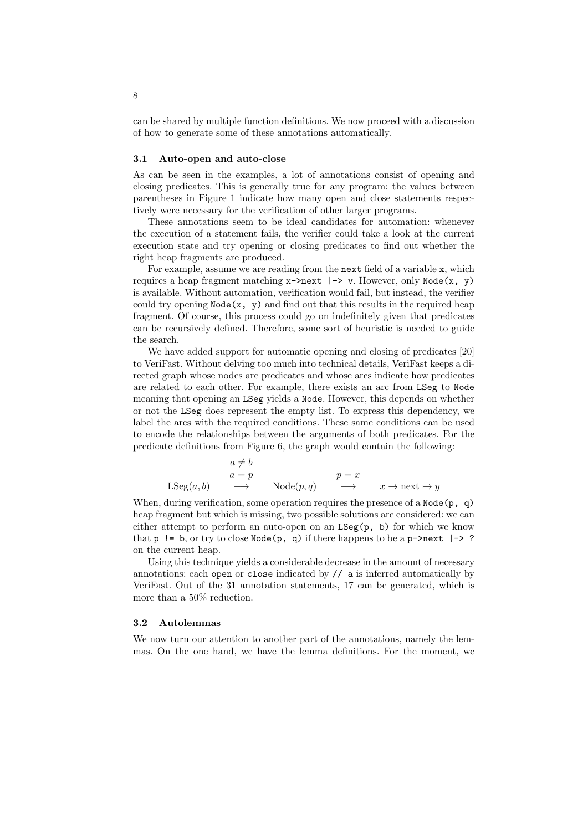can be shared by multiple function definitions. We now proceed with a discussion of how to generate some of these annotations automatically.

#### **3.1 Auto-open and auto-close**

As can be seen in the examples, a lot of annotations consist of opening and closing predicates. This is generally true for any program: the values between parentheses in Figure 1 indicate how many open and close statements respectively were necessary for the verification of other larger programs.

These annotations seem to be ideal candidates for automation: whenever the execution of a statement fails, the verifier could take a look at the current execution state and try opening or closing predicates to find out whether the right heap fragments are produced.

For example, assume we are reading from the next field of a variable x, which requires a heap fragment matching  $x\rightarrow$ next  $\rightarrow$  v. However, only Node $(x, y)$ is available. Without automation, verification would fail, but instead, the verifier could try opening  $\text{Node}(x, y)$  and find out that this results in the required heap fragment. Of course, this process could go on indefinitely given that predicates can be recursively defined. Therefore, some sort of heuristic is needed to guide the search.

We have added support for automatic opening and closing of predicates [20] to VeriFast. Without delving too much into technical details, VeriFast keeps a directed graph whose nodes are predicates and whose arcs indicate how predicates are related to each other. For example, there exists an arc from LSeg to Node meaning that opening an LSeg yields a Node. However, this depends on whether or not the LSeg does represent the empty list. To express this dependency, we label the arcs with the required conditions. These same conditions can be used to encode the relationships between the arguments of both predicates. For the predicate definitions from Figure 6, the graph would contain the following:

$$
a \neq b
$$
  
\n
$$
a = p
$$
  
\n
$$
\text{LSeg}(a, b) \longrightarrow \text{Node}(p, q) \longrightarrow x \longrightarrow \text{next} \mapsto y
$$

When, during verification, some operation requires the presence of a Node  $(p, q)$ heap fragment but which is missing, two possible solutions are considered: we can either attempt to perform an auto-open on an  $LSeg(p, b)$  for which we know that  $p$  != b, or try to close Node( $p$ ,  $q$ ) if there happens to be a  $p$ ->next  $|$ ->? on the current heap.

Using this technique yields a considerable decrease in the amount of necessary annotations: each open or close indicated by // a is inferred automatically by VeriFast. Out of the 31 annotation statements, 17 can be generated, which is more than a 50% reduction.

#### **3.2 Autolemmas**

We now turn our attention to another part of the annotations, namely the lemmas. On the one hand, we have the lemma definitions. For the moment, we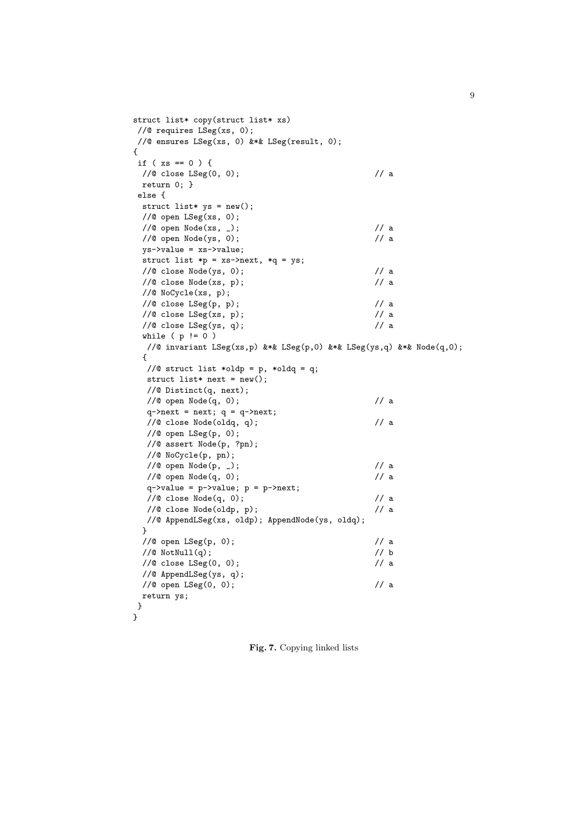```
struct list* copy(struct list* xs)
//@ requires LSeg(xs, 0);
//@ ensures LSeg(xs, 0) &*& LSeg(result, 0);
{
if (xs == 0) {
 //@ close LSeg(0, 0); // a
 return 0; }
else {
 struct list* ys = new();
 //@ open LSeg(xs, 0);
 //© open Node(xs, _); // a
 //© open Node(ys, 0); // a
 ys->value = xs->value;
 struct list *p = xs->next, *q = ys;
 //@ close Node(ys, 0); // a//@ close Node(xs, p); // a//@ NoCycle(xs, p);
 //@close LSeg(p, p); // a
 //@ close LSeg(xs, p); // a\frac{1}{e} close LSeg(ys, q); \frac{1}{e} // a
 while ( p := 0 )
  //@ invariant LSeg(xs,p) &*& LSeg(p,0) &*& LSeg(ys,q) &*& Node(q,0);
 {
  //@ struct list *oldp = p, *oldq = q;
  struct list* next = new();
  //@ Distinct(q, next);
  //@openNode(q, 0); //@openNode(q, 0);q->next = next; q = q->next;
  //@ close Node(oldq, q); // a//@ open LSeg(p, 0);
  //@ assert Node(p, ?pn);
  //@ NoCycle(p, pn);
  // open Node(p, _{\_}); // a
  // open Node(q, 0); // a
  q->value = p->value; p = p->next;
  //@closeNode(q, 0); // a
  //@ close Node(oldp, p); // a//@ AppendLSeg(xs, oldp); AppendNode(ys, oldq);
 }
 \frac{1}{e} open LSeg(p, 0); \frac{1}{e} // a
 \frac{1}{e} NotNull(q);<br>\frac{1}{e} a boxe LSeg(0, 0);<br>\frac{1}{e} a boxe 1.5 a boxe 3.
 //@close LSeg(0, 0);//@ AppendLSeg(ys, q);
 \frac{1}{e} open LSeg(0, 0); \frac{1}{e} // a
 return ys;
}
}
```
**Fig. 7.** Copying linked lists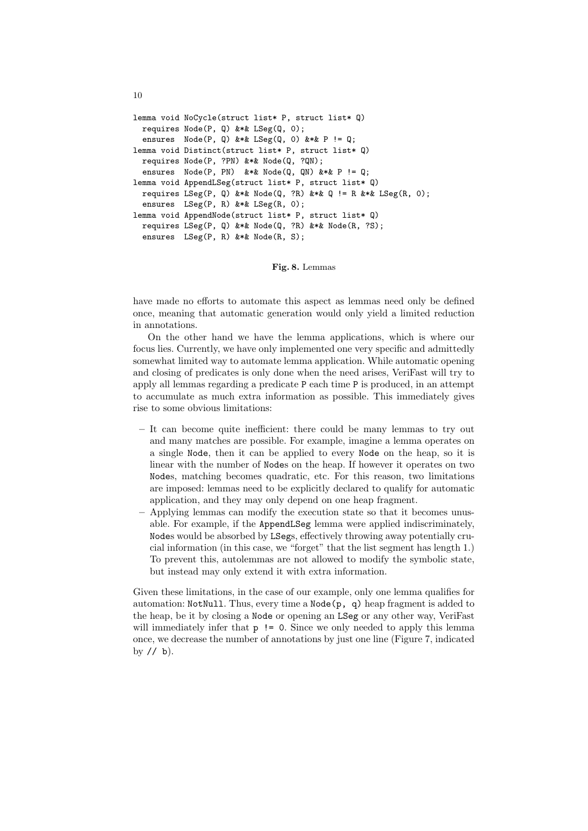```
lemma void NoCycle(struct list* P, struct list* Q)
 requires Node(P, Q) &*& LSeg(Q, 0);
  ensures Node(P, Q) k*k LSeg(Q, 0) k*k P != Q;
lemma void Distinct(struct list* P, struct list* Q)
 requires Node(P, ?PN) &*& Node(Q, ?QN);
 ensures Node(P, PN) &*& Node(Q, QN) &*& P := Q;
lemma void AppendLSeg(struct list* P, struct list* Q)
 requires LSeg(P, Q) &*& Node(Q, ?R) &*& Q != R &*& LSeg(R, 0);
  ensures LSeg(P, R) &*& LSeg(R, 0);
lemma void AppendNode(struct list* P, struct list* Q)
 requires LSeg(P, Q) &*& Node(Q, ?R) &*& Node(R, ?S);
 ensures LSeg(P, R) &*& Node(R, S);
```
**Fig. 8.** Lemmas

have made no efforts to automate this aspect as lemmas need only be defined once, meaning that automatic generation would only yield a limited reduction in annotations.

On the other hand we have the lemma applications, which is where our focus lies. Currently, we have only implemented one very specific and admittedly somewhat limited way to automate lemma application. While automatic opening and closing of predicates is only done when the need arises, VeriFast will try to apply all lemmas regarding a predicate P each time P is produced, in an attempt to accumulate as much extra information as possible. This immediately gives rise to some obvious limitations:

- **–** It can become quite inefficient: there could be many lemmas to try out and many matches are possible. For example, imagine a lemma operates on a single Node, then it can be applied to every Node on the heap, so it is linear with the number of Nodes on the heap. If however it operates on two Nodes, matching becomes quadratic, etc. For this reason, two limitations are imposed: lemmas need to be explicitly declared to qualify for automatic application, and they may only depend on one heap fragment.
- **–** Applying lemmas can modify the execution state so that it becomes unusable. For example, if the AppendLSeg lemma were applied indiscriminately, Nodes would be absorbed by LSegs, effectively throwing away potentially crucial information (in this case, we "forget" that the list segment has length 1.) To prevent this, autolemmas are not allowed to modify the symbolic state, but instead may only extend it with extra information.

Given these limitations, in the case of our example, only one lemma qualifies for automation: NotNull. Thus, every time a Node $(p, q)$  heap fragment is added to the heap, be it by closing a Node or opening an LSeg or any other way, VeriFast will immediately infer that  $p \neq 0$ . Since we only needed to apply this lemma once, we decrease the number of annotations by just one line (Figure 7, indicated by  $// b$ ).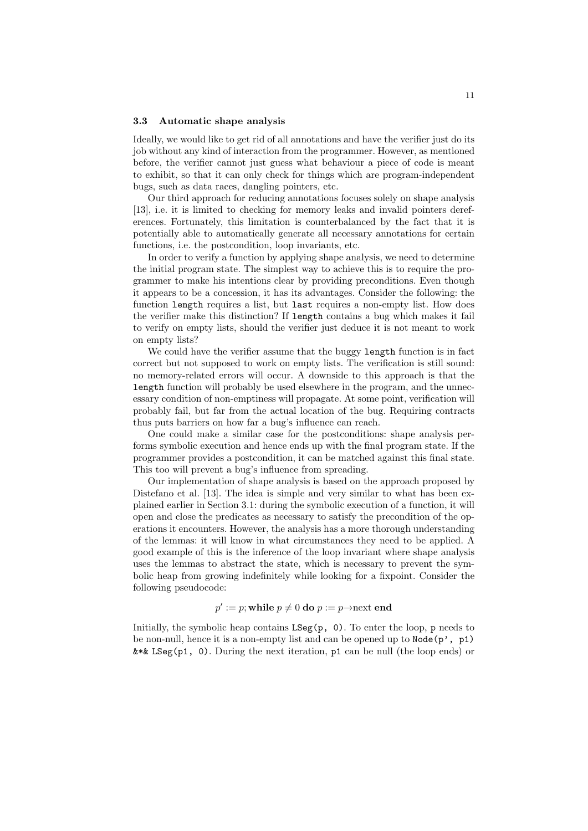#### **3.3 Automatic shape analysis**

Ideally, we would like to get rid of all annotations and have the verifier just do its job without any kind of interaction from the programmer. However, as mentioned before, the verifier cannot just guess what behaviour a piece of code is meant to exhibit, so that it can only check for things which are program-independent bugs, such as data races, dangling pointers, etc.

Our third approach for reducing annotations focuses solely on shape analysis [13], i.e. it is limited to checking for memory leaks and invalid pointers dereferences. Fortunately, this limitation is counterbalanced by the fact that it is potentially able to automatically generate all necessary annotations for certain functions, i.e. the postcondition, loop invariants, etc.

In order to verify a function by applying shape analysis, we need to determine the initial program state. The simplest way to achieve this is to require the programmer to make his intentions clear by providing preconditions. Even though it appears to be a concession, it has its advantages. Consider the following: the function length requires a list, but last requires a non-empty list. How does the verifier make this distinction? If length contains a bug which makes it fail to verify on empty lists, should the verifier just deduce it is not meant to work on empty lists?

We could have the verifier assume that the buggy length function is in fact correct but not supposed to work on empty lists. The verification is still sound: no memory-related errors will occur. A downside to this approach is that the length function will probably be used elsewhere in the program, and the unnecessary condition of non-emptiness will propagate. At some point, verification will probably fail, but far from the actual location of the bug. Requiring contracts thus puts barriers on how far a bug's influence can reach.

One could make a similar case for the postconditions: shape analysis performs symbolic execution and hence ends up with the final program state. If the programmer provides a postcondition, it can be matched against this final state. This too will prevent a bug's influence from spreading.

Our implementation of shape analysis is based on the approach proposed by Distefano et al. [13]. The idea is simple and very similar to what has been explained earlier in Section 3.1: during the symbolic execution of a function, it will open and close the predicates as necessary to satisfy the precondition of the operations it encounters. However, the analysis has a more thorough understanding of the lemmas: it will know in what circumstances they need to be applied. A good example of this is the inference of the loop invariant where shape analysis uses the lemmas to abstract the state, which is necessary to prevent the symbolic heap from growing indefinitely while looking for a fixpoint. Consider the following pseudocode:

## $p' := p$ ; while  $p \neq 0$  do  $p := p \rightarrow$ next end

Initially, the symbolic heap contains LSeg(p, 0). To enter the loop, p needs to be non-null, hence it is a non-empty list and can be opened up to Node(p', p1)  $\&\ast\&\ \text{LSeg(p1, 0)}.$  During the next iteration, p1 can be null (the loop ends) or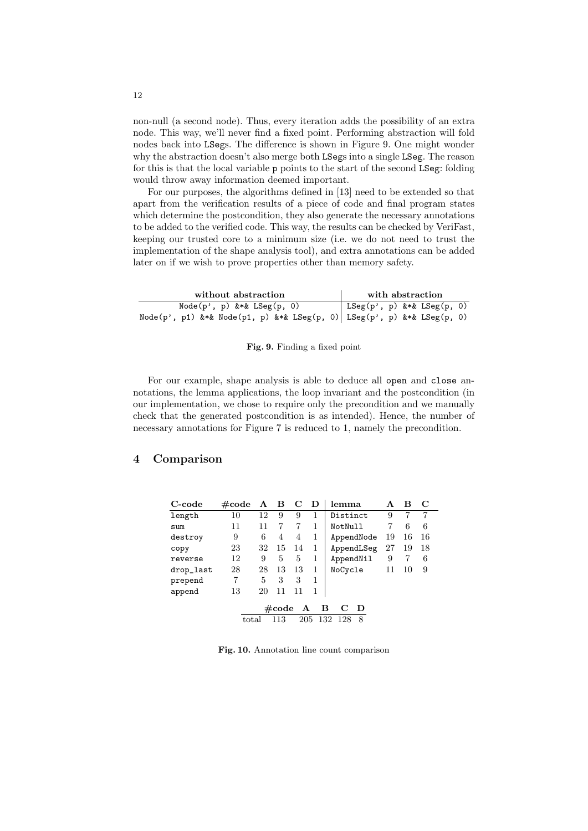non-null (a second node). Thus, every iteration adds the possibility of an extra node. This way, we'll never find a fixed point. Performing abstraction will fold nodes back into LSegs. The difference is shown in Figure 9. One might wonder why the abstraction doesn't also merge both LSegs into a single LSeg. The reason for this is that the local variable p points to the start of the second LSeg: folding would throw away information deemed important.

For our purposes, the algorithms defined in [13] need to be extended so that apart from the verification results of a piece of code and final program states which determine the postcondition, they also generate the necessary annotations to be added to the verified code. This way, the results can be checked by VeriFast, keeping our trusted core to a minimum size (i.e. we do not need to trust the implementation of the shape analysis tool), and extra annotations can be added later on if we wish to prove properties other than memory safety.

| without abstraction                                                          | with abstraction                 |  |  |  |  |
|------------------------------------------------------------------------------|----------------------------------|--|--|--|--|
| $Node(p', p)$ &*& $LSeg(p, 0)$                                               | LSeg $(p', p)$ &*& LSeg $(p, 0)$ |  |  |  |  |
| Node(p', p1) $k*k$ Node(p1, p) $k*k$ LSeg(p, 0) LSeg(p', p) $k*k$ LSeg(p, 0) |                                  |  |  |  |  |

#### **Fig. 9.** Finding a fixed point

For our example, shape analysis is able to deduce all open and close annotations, the lemma applications, the loop invariant and the postcondition (in our implementation, we chose to require only the precondition and we manually check that the generated postcondition is as intended). Hence, the number of necessary annotations for Figure 7 is reduced to 1, namely the precondition.

## **4 Comparison**

| C-code                                                                   | $\#\text{code}$ | A  | в  | C  | D | lemma      | А  | в  | $\mathbf C$ |  |
|--------------------------------------------------------------------------|-----------------|----|----|----|---|------------|----|----|-------------|--|
| length                                                                   | 10              | 12 | 9  | 9  |   | Distinct   | 9  |    | 7           |  |
| sum                                                                      | 11              | 11 |    | 7  |   | NotNull    |    | 6  | 6           |  |
| destroy                                                                  | 9               | 6  | 4  | 4  | 1 | AppendNode | 19 | 16 | 16          |  |
| copy                                                                     | 23              | 32 | 15 | 14 |   | AppendLSeg | 27 | 19 | 18          |  |
| reverse                                                                  | 12              | 9  | 5  | 5  |   | AppendNil  | 9  | 7  | 6           |  |
| drop_last                                                                | 28              | 28 | 13 | 13 |   | NoCycle    | 11 | 10 | 9           |  |
| prepend                                                                  | 7               | 5  | 3  | 3  | 1 |            |    |    |             |  |
| append                                                                   | 13              | 20 | 11 | 11 |   |            |    |    |             |  |
| в<br>$\#\text{code}$<br>Ð<br>A<br>132<br>8<br>113<br>128<br>205<br>total |                 |    |    |    |   |            |    |    |             |  |

**Fig. 10.** Annotation line count comparison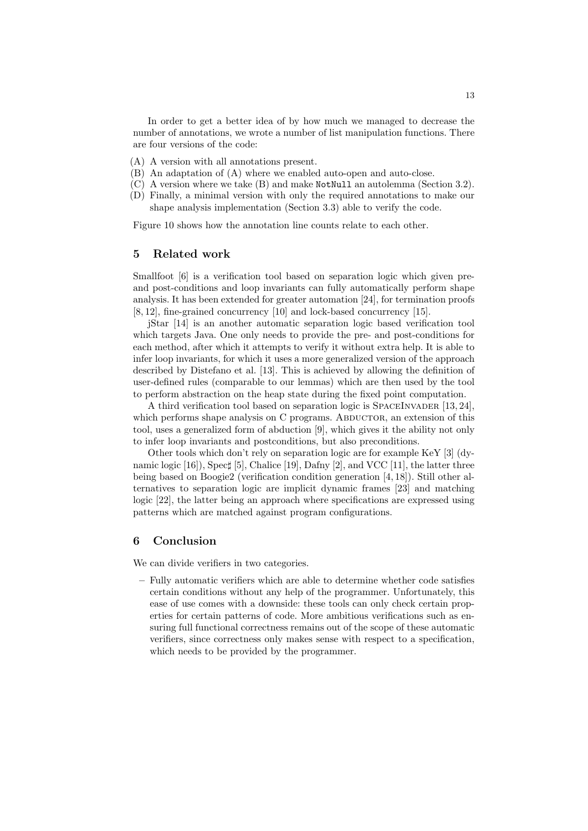In order to get a better idea of by how much we managed to decrease the number of annotations, we wrote a number of list manipulation functions. There are four versions of the code:

- (A) A version with all annotations present.
- (B) An adaptation of (A) where we enabled auto-open and auto-close.
- (C) A version where we take (B) and make NotNull an autolemma (Section 3.2). (D) Finally, a minimal version with only the required annotations to make our
	- shape analysis implementation (Section 3.3) able to verify the code.

Figure 10 shows how the annotation line counts relate to each other.

## **5 Related work**

Smallfoot [6] is a verification tool based on separation logic which given preand post-conditions and loop invariants can fully automatically perform shape analysis. It has been extended for greater automation [24], for termination proofs [8, 12], fine-grained concurrency [10] and lock-based concurrency [15].

jStar [14] is an another automatic separation logic based verification tool which targets Java. One only needs to provide the pre- and post-conditions for each method, after which it attempts to verify it without extra help. It is able to infer loop invariants, for which it uses a more generalized version of the approach described by Distefano et al. [13]. This is achieved by allowing the definition of user-defined rules (comparable to our lemmas) which are then used by the tool to perform abstraction on the heap state during the fixed point computation.

A third verification tool based on separation logic is SpaceInvader [13, 24], which performs shape analysis on C programs. ABDUCTOR, an extension of this tool, uses a generalized form of abduction [9], which gives it the ability not only to infer loop invariants and postconditions, but also preconditions.

Other tools which don't rely on separation logic are for example KeY [3] (dynamic logic [16]), Spec*♯* [5], Chalice [19], Dafny [2], and VCC [11], the latter three being based on Boogie2 (verification condition generation [4, 18]). Still other alternatives to separation logic are implicit dynamic frames [23] and matching logic [22], the latter being an approach where specifications are expressed using patterns which are matched against program configurations.

#### **6 Conclusion**

We can divide verifiers in two categories.

**–** Fully automatic verifiers which are able to determine whether code satisfies certain conditions without any help of the programmer. Unfortunately, this ease of use comes with a downside: these tools can only check certain properties for certain patterns of code. More ambitious verifications such as ensuring full functional correctness remains out of the scope of these automatic verifiers, since correctness only makes sense with respect to a specification, which needs to be provided by the programmer.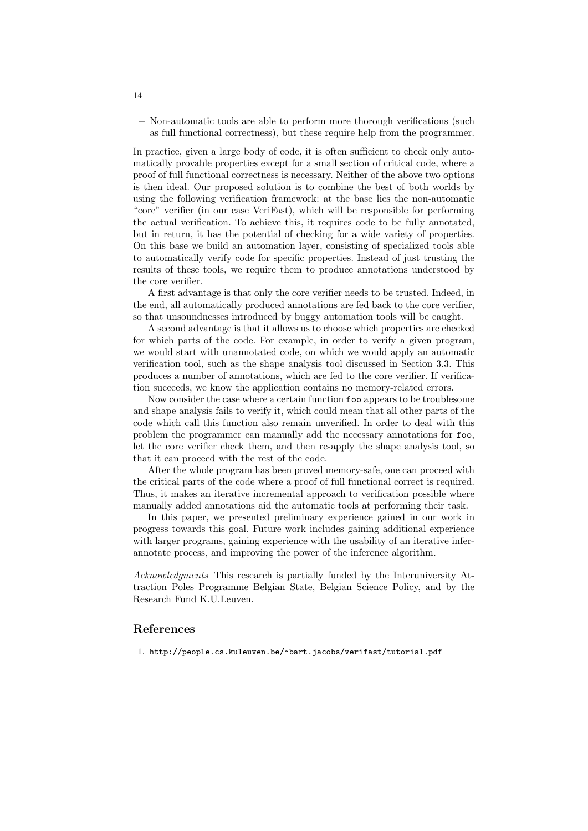**–** Non-automatic tools are able to perform more thorough verifications (such as full functional correctness), but these require help from the programmer.

In practice, given a large body of code, it is often sufficient to check only automatically provable properties except for a small section of critical code, where a proof of full functional correctness is necessary. Neither of the above two options is then ideal. Our proposed solution is to combine the best of both worlds by using the following verification framework: at the base lies the non-automatic "core" verifier (in our case VeriFast), which will be responsible for performing the actual verification. To achieve this, it requires code to be fully annotated, but in return, it has the potential of checking for a wide variety of properties. On this base we build an automation layer, consisting of specialized tools able to automatically verify code for specific properties. Instead of just trusting the results of these tools, we require them to produce annotations understood by the core verifier.

A first advantage is that only the core verifier needs to be trusted. Indeed, in the end, all automatically produced annotations are fed back to the core verifier, so that unsoundnesses introduced by buggy automation tools will be caught.

A second advantage is that it allows us to choose which properties are checked for which parts of the code. For example, in order to verify a given program, we would start with unannotated code, on which we would apply an automatic verification tool, such as the shape analysis tool discussed in Section 3.3. This produces a number of annotations, which are fed to the core verifier. If verification succeeds, we know the application contains no memory-related errors.

Now consider the case where a certain function foo appears to be troublesome and shape analysis fails to verify it, which could mean that all other parts of the code which call this function also remain unverified. In order to deal with this problem the programmer can manually add the necessary annotations for foo, let the core verifier check them, and then re-apply the shape analysis tool, so that it can proceed with the rest of the code.

After the whole program has been proved memory-safe, one can proceed with the critical parts of the code where a proof of full functional correct is required. Thus, it makes an iterative incremental approach to verification possible where manually added annotations aid the automatic tools at performing their task.

In this paper, we presented preliminary experience gained in our work in progress towards this goal. Future work includes gaining additional experience with larger programs, gaining experience with the usability of an iterative inferannotate process, and improving the power of the inference algorithm.

*Acknowledgments* This research is partially funded by the Interuniversity Attraction Poles Programme Belgian State, Belgian Science Policy, and by the Research Fund K.U.Leuven.

## **References**

1. http://people.cs.kuleuven.be/~bart.jacobs/verifast/tutorial.pdf